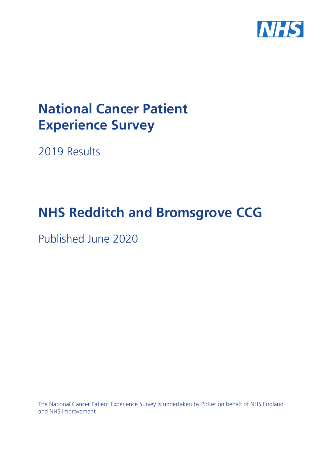

# **National Cancer Patient Experience Survey**

2019 Results

# **NHS Redditch and Bromsgrove CCG**

Published June 2020

The National Cancer Patient Experience Survey is undertaken by Picker on behalf of NHS England and NHS Improvement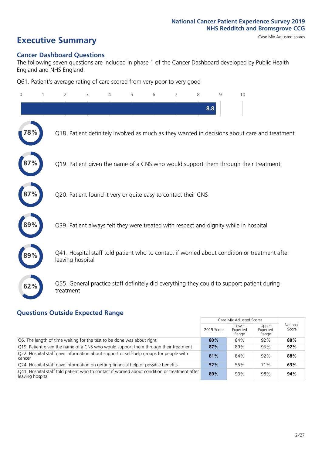# **Executive Summary** Case Mix Adjusted scores

#### **Cancer Dashboard Questions**

The following seven questions are included in phase 1 of the Cancer Dashboard developed by Public Health England and NHS England:

Q61. Patient's average rating of care scored from very poor to very good

| $\Omega$ | $\overline{2}$                                                | 3 | 4 | 5 | 6 | 7 | 8   | 9 | 10                                                                                            |  |
|----------|---------------------------------------------------------------|---|---|---|---|---|-----|---|-----------------------------------------------------------------------------------------------|--|
|          |                                                               |   |   |   |   |   | 8.8 |   |                                                                                               |  |
| 78%      |                                                               |   |   |   |   |   |     |   | Q18. Patient definitely involved as much as they wanted in decisions about care and treatment |  |
|          |                                                               |   |   |   |   |   |     |   | Q19. Patient given the name of a CNS who would support them through their treatment           |  |
|          | Q20. Patient found it very or quite easy to contact their CNS |   |   |   |   |   |     |   |                                                                                               |  |
|          |                                                               |   |   |   |   |   |     |   | Q39. Patient always felt they were treated with respect and dignity while in hospital         |  |
|          | leaving hospital                                              |   |   |   |   |   |     |   | Q41. Hospital staff told patient who to contact if worried about condition or treatment after |  |
| 62%      | treatment                                                     |   |   |   |   |   |     |   | Q55. General practice staff definitely did everything they could to support patient during    |  |

### **Questions Outside Expected Range**

|                                                                                                                   |            | Case Mix Adjusted Scores   |                            |                   |
|-------------------------------------------------------------------------------------------------------------------|------------|----------------------------|----------------------------|-------------------|
|                                                                                                                   | 2019 Score | Lower<br>Expected<br>Range | Upper<br>Expected<br>Range | National<br>Score |
| Q6. The length of time waiting for the test to be done was about right                                            | 80%        | 84%                        | 92%                        | 88%               |
| Q19. Patient given the name of a CNS who would support them through their treatment                               | 87%        | 89%                        | 95%                        | 92%               |
| Q22. Hospital staff gave information about support or self-help groups for people with<br>cancer                  | 81%        | 84%                        | 92%                        | 88%               |
| Q24. Hospital staff gave information on getting financial help or possible benefits                               | 52%        | 55%                        | 71%                        | 63%               |
| Q41. Hospital staff told patient who to contact if worried about condition or treatment after<br>leaving hospital | 89%        | 90%                        | 98%                        | 94%               |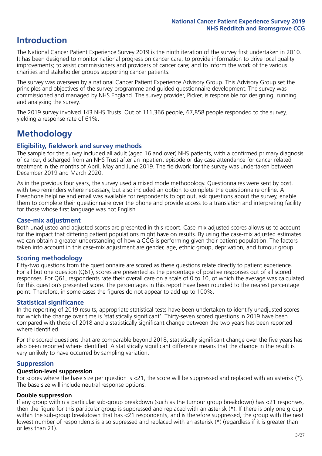# **Introduction**

The National Cancer Patient Experience Survey 2019 is the ninth iteration of the survey first undertaken in 2010. It has been designed to monitor national progress on cancer care; to provide information to drive local quality improvements; to assist commissioners and providers of cancer care; and to inform the work of the various charities and stakeholder groups supporting cancer patients.

The survey was overseen by a national Cancer Patient Experience Advisory Group. This Advisory Group set the principles and objectives of the survey programme and guided questionnaire development. The survey was commissioned and managed by NHS England. The survey provider, Picker, is responsible for designing, running and analysing the survey.

The 2019 survey involved 143 NHS Trusts. Out of 111,366 people, 67,858 people responded to the survey, yielding a response rate of 61%.

# **Methodology**

#### **Eligibility, eldwork and survey methods**

The sample for the survey included all adult (aged 16 and over) NHS patients, with a confirmed primary diagnosis of cancer, discharged from an NHS Trust after an inpatient episode or day case attendance for cancer related treatment in the months of April, May and June 2019. The fieldwork for the survey was undertaken between December 2019 and March 2020.

As in the previous four years, the survey used a mixed mode methodology. Questionnaires were sent by post, with two reminders where necessary, but also included an option to complete the questionnaire online. A Freephone helpline and email was available for respondents to opt out, ask questions about the survey, enable them to complete their questionnaire over the phone and provide access to a translation and interpreting facility for those whose first language was not English.

#### **Case-mix adjustment**

Both unadjusted and adjusted scores are presented in this report. Case-mix adjusted scores allows us to account for the impact that differing patient populations might have on results. By using the case-mix adjusted estimates we can obtain a greater understanding of how a CCG is performing given their patient population. The factors taken into account in this case-mix adjustment are gender, age, ethnic group, deprivation, and tumour group.

#### **Scoring methodology**

Fifty-two questions from the questionnaire are scored as these questions relate directly to patient experience. For all but one question (Q61), scores are presented as the percentage of positive responses out of all scored responses. For Q61, respondents rate their overall care on a scale of 0 to 10, of which the average was calculated for this question's presented score. The percentages in this report have been rounded to the nearest percentage point. Therefore, in some cases the figures do not appear to add up to 100%.

#### **Statistical significance**

In the reporting of 2019 results, appropriate statistical tests have been undertaken to identify unadjusted scores for which the change over time is 'statistically significant'. Thirty-seven scored questions in 2019 have been compared with those of 2018 and a statistically significant change between the two years has been reported where identified.

For the scored questions that are comparable beyond 2018, statistically significant change over the five years has also been reported where identified. A statistically significant difference means that the change in the result is very unlikely to have occurred by sampling variation.

#### **Suppression**

#### **Question-level suppression**

For scores where the base size per question is  $<$ 21, the score will be suppressed and replaced with an asterisk (\*). The base size will include neutral response options.

#### **Double suppression**

If any group within a particular sub-group breakdown (such as the tumour group breakdown) has <21 responses, then the figure for this particular group is suppressed and replaced with an asterisk (\*). If there is only one group within the sub-group breakdown that has <21 respondents, and is therefore suppressed, the group with the next lowest number of respondents is also supressed and replaced with an asterisk (\*) (regardless if it is greater than or less than 21).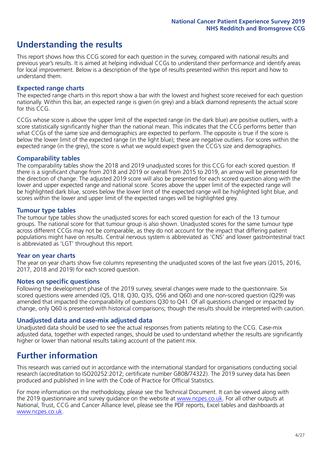# **Understanding the results**

This report shows how this CCG scored for each question in the survey, compared with national results and previous year's results. It is aimed at helping individual CCGs to understand their performance and identify areas for local improvement. Below is a description of the type of results presented within this report and how to understand them.

#### **Expected range charts**

The expected range charts in this report show a bar with the lowest and highest score received for each question nationally. Within this bar, an expected range is given (in grey) and a black diamond represents the actual score for this CCG.

CCGs whose score is above the upper limit of the expected range (in the dark blue) are positive outliers, with a score statistically significantly higher than the national mean. This indicates that the CCG performs better than what CCGs of the same size and demographics are expected to perform. The opposite is true if the score is below the lower limit of the expected range (in the light blue); these are negative outliers. For scores within the expected range (in the grey), the score is what we would expect given the CCG's size and demographics.

#### **Comparability tables**

The comparability tables show the 2018 and 2019 unadjusted scores for this CCG for each scored question. If there is a significant change from 2018 and 2019 or overall from 2015 to 2019, an arrow will be presented for the direction of change. The adjusted 2019 score will also be presented for each scored question along with the lower and upper expected range and national score. Scores above the upper limit of the expected range will be highlighted dark blue, scores below the lower limit of the expected range will be highlighted light blue, and scores within the lower and upper limit of the expected ranges will be highlighted grey.

#### **Tumour type tables**

The tumour type tables show the unadjusted scores for each scored question for each of the 13 tumour groups. The national score for that tumour group is also shown. Unadjusted scores for the same tumour type across different CCGs may not be comparable, as they do not account for the impact that differing patient populations might have on results. Central nervous system is abbreviated as 'CNS' and lower gastrointestinal tract is abbreviated as 'LGT' throughout this report.

#### **Year on year charts**

The year on year charts show five columns representing the unadjusted scores of the last five years (2015, 2016, 2017, 2018 and 2019) for each scored question.

#### **Notes on specific questions**

Following the development phase of the 2019 survey, several changes were made to the questionnaire. Six scored questions were amended (Q5, Q18, Q30, Q35, Q56 and Q60) and one non-scored question (Q29) was amended that impacted the comparability of questions Q30 to Q41. Of all questions changed or impacted by change, only Q60 is presented with historical comparisons; though the results should be interpreted with caution.

#### **Unadjusted data and case-mix adjusted data**

Unadjusted data should be used to see the actual responses from patients relating to the CCG. Case-mix adjusted data, together with expected ranges, should be used to understand whether the results are significantly higher or lower than national results taking account of the patient mix.

### **Further information**

This research was carried out in accordance with the international standard for organisations conducting social research (accreditation to ISO20252:2012; certificate number GB08/74322). The 2019 survey data has been produced and published in line with the Code of Practice for Official Statistics.

For more information on the methodology, please see the Technical Document. It can be viewed along with the 2019 questionnaire and survey quidance on the website at [www.ncpes.co.uk](https://www.ncpes.co.uk/supporting-documents). For all other outputs at National, Trust, CCG and Cancer Alliance level, please see the PDF reports, Excel tables and dashboards at [www.ncpes.co.uk.](https://www.ncpes.co.uk/current-results)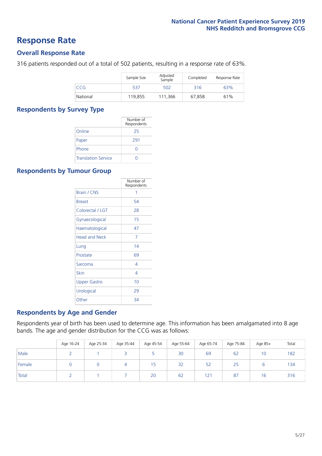### **Response Rate**

#### **Overall Response Rate**

316 patients responded out of a total of 502 patients, resulting in a response rate of 63%.

|          | Sample Size | Adjusted<br>Sample | Completed | Response Rate |
|----------|-------------|--------------------|-----------|---------------|
| CCG      | 537         | 502                | 316       | 63%           |
| National | 119,855     | 111.366            | 67,858    | 61%           |

#### **Respondents by Survey Type**

|                            | Number of<br>Respondents |
|----------------------------|--------------------------|
| Online                     | 25                       |
| Paper                      | 291                      |
| Phone                      |                          |
| <b>Translation Service</b> |                          |

#### **Respondents by Tumour Group**

|                      | Number of<br>Respondents |
|----------------------|--------------------------|
| <b>Brain / CNS</b>   | 1                        |
| <b>Breast</b>        | 54                       |
| Colorectal / LGT     | 28                       |
| Gynaecological       | 15                       |
| Haematological       | 47                       |
| <b>Head and Neck</b> | 7                        |
| Lung                 | 14                       |
| Prostate             | 69                       |
| Sarcoma              | 4                        |
| Skin                 | 4                        |
| <b>Upper Gastro</b>  | 10                       |
| Urological           | 29                       |
| Other                | 34                       |

#### **Respondents by Age and Gender**

Respondents year of birth has been used to determine age. This information has been amalgamated into 8 age bands. The age and gender distribution for the CCG was as follows:

|        | Age 16-24 | Age 25-34 | Age 35-44 | Age 45-54 | Age 55-64 | Age 65-74 | Age 75-84 | Age 85+ | Total |
|--------|-----------|-----------|-----------|-----------|-----------|-----------|-----------|---------|-------|
| Male   |           |           |           |           | 30        | 69        | 62        | 10      | 182   |
| Female |           |           |           | 15        | 32        | 52        | 25        |         | 134   |
| Total  |           |           |           | 20        | 62        | 121       | 87        | 16      | 316   |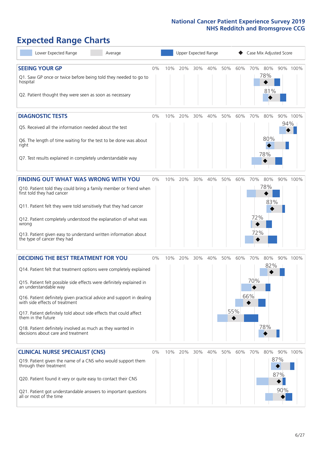# **Expected Range Charts**

| Lower Expected Range<br>Average                                                                         |       |     |     | Upper Expected Range |     |     |     |     | Case Mix Adjusted Score |     |          |
|---------------------------------------------------------------------------------------------------------|-------|-----|-----|----------------------|-----|-----|-----|-----|-------------------------|-----|----------|
| <b>SEEING YOUR GP</b>                                                                                   | 0%    | 10% | 20% | 30%                  | 40% | 50% | 60% |     | 70% 80%                 |     | 90% 100% |
| Q1. Saw GP once or twice before being told they needed to go to<br>hospital                             |       |     |     |                      |     |     |     |     | 78%                     |     |          |
| Q2. Patient thought they were seen as soon as necessary                                                 |       |     |     |                      |     |     |     |     | 81%                     |     |          |
| <b>DIAGNOSTIC TESTS</b>                                                                                 | $0\%$ | 10% | 20% | 30%                  | 40% | 50% | 60% | 70% | 80%                     |     | 90% 100% |
| Q5. Received all the information needed about the test                                                  |       |     |     |                      |     |     |     |     |                         | 94% |          |
| Q6. The length of time waiting for the test to be done was about<br>right                               |       |     |     |                      |     |     |     |     | 80%                     |     |          |
| Q7. Test results explained in completely understandable way                                             |       |     |     |                      |     |     |     |     | 78%                     |     |          |
| <b>FINDING OUT WHAT WAS WRONG WITH YOU</b>                                                              | $0\%$ | 10% | 20% | 30%                  | 40% | 50% | 60% | 70% | 80%                     |     | 90% 100% |
| Q10. Patient told they could bring a family member or friend when<br>first told they had cancer         |       |     |     |                      |     |     |     |     | 78%                     |     |          |
| Q11. Patient felt they were told sensitively that they had cancer                                       |       |     |     |                      |     |     |     |     | 83%                     |     |          |
| Q12. Patient completely understood the explanation of what was<br>wrong                                 |       |     |     |                      |     |     |     | 72% |                         |     |          |
| Q13. Patient given easy to understand written information about<br>the type of cancer they had          |       |     |     |                      |     |     |     | 72% |                         |     |          |
| <b>DECIDING THE BEST TREATMENT FOR YOU</b>                                                              | $0\%$ | 10% | 20% | 30%                  | 40% | 50% | 60% | 70% | 80%                     |     | 90% 100% |
| Q14. Patient felt that treatment options were completely explained                                      |       |     |     |                      |     |     |     |     | 82%                     |     |          |
| Q15. Patient felt possible side effects were definitely explained in<br>an understandable way           |       |     |     |                      |     |     |     | 70% |                         |     |          |
| Q16. Patient definitely given practical advice and support in dealing<br>with side effects of treatment |       |     |     |                      |     |     |     | 66% |                         |     |          |
| Q17. Patient definitely told about side effects that could affect<br>them in the future                 |       |     |     |                      |     |     | 55% |     |                         |     |          |
| Q18. Patient definitely involved as much as they wanted in<br>decisions about care and treatment        |       |     |     |                      |     |     |     |     | 78%                     |     |          |
| <b>CLINICAL NURSE SPECIALIST (CNS)</b>                                                                  | $0\%$ | 10% | 20% | 30%                  | 40% | 50% | 60% | 70% | 80%                     | 90% | 100%     |
| Q19. Patient given the name of a CNS who would support them<br>through their treatment                  |       |     |     |                      |     |     |     |     |                         | 87% |          |
| Q20. Patient found it very or quite easy to contact their CNS                                           |       |     |     |                      |     |     |     |     |                         | 87% |          |
| Q21. Patient got understandable answers to important questions<br>all or most of the time               |       |     |     |                      |     |     |     |     |                         | 90% |          |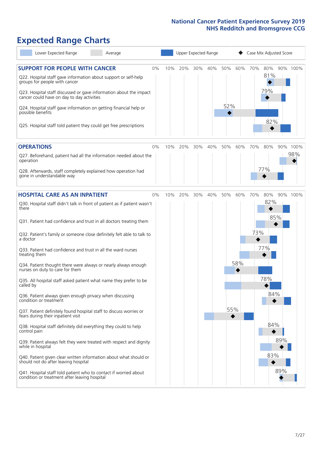# **Expected Range Charts**

| Lower Expected Range<br>Average                                                                                                                                                                                                                                                                                                                                                                                                                                                                                                                                                                                                                                                                                                                                                                                                                                                                         |    |     |     | Upper Expected Range |     |            |            | Case Mix Adjusted Score |                                        |     |          |
|---------------------------------------------------------------------------------------------------------------------------------------------------------------------------------------------------------------------------------------------------------------------------------------------------------------------------------------------------------------------------------------------------------------------------------------------------------------------------------------------------------------------------------------------------------------------------------------------------------------------------------------------------------------------------------------------------------------------------------------------------------------------------------------------------------------------------------------------------------------------------------------------------------|----|-----|-----|----------------------|-----|------------|------------|-------------------------|----------------------------------------|-----|----------|
| <b>SUPPORT FOR PEOPLE WITH CANCER</b><br>Q22. Hospital staff gave information about support or self-help<br>groups for people with cancer<br>Q23. Hospital staff discussed or gave information about the impact<br>cancer could have on day to day activities<br>Q24. Hospital staff gave information on getting financial help or<br>possible benefits<br>Q25. Hospital staff told patient they could get free prescriptions                                                                                                                                                                                                                                                                                                                                                                                                                                                                           | 0% | 10% | 20% | 30%                  | 40% | 50%<br>52% | 60%        | 70%                     | 80%<br>81%<br>79%<br>82%               |     | 90% 100% |
| <b>OPERATIONS</b>                                                                                                                                                                                                                                                                                                                                                                                                                                                                                                                                                                                                                                                                                                                                                                                                                                                                                       | 0% | 10% | 20% | 30%                  | 40% | 50%        | 60%        | 70%                     | 80%                                    |     | 90% 100% |
| Q27. Beforehand, patient had all the information needed about the<br>operation<br>Q28. Afterwards, staff completely explained how operation had<br>gone in understandable way                                                                                                                                                                                                                                                                                                                                                                                                                                                                                                                                                                                                                                                                                                                           |    |     |     |                      |     |            |            |                         | 77%                                    |     | 98%      |
| <b>HOSPITAL CARE AS AN INPATIENT</b>                                                                                                                                                                                                                                                                                                                                                                                                                                                                                                                                                                                                                                                                                                                                                                                                                                                                    | 0% | 10% | 20% | 30%                  | 40% | 50%        | 60%        | 70%                     | 80%                                    |     | 90% 100% |
| Q30. Hospital staff didn't talk in front of patient as if patient wasn't<br>there<br>Q31. Patient had confidence and trust in all doctors treating them<br>Q32. Patient's family or someone close definitely felt able to talk to<br>a doctor<br>Q33. Patient had confidence and trust in all the ward nurses<br>treating them<br>Q34. Patient thought there were always or nearly always enough<br>nurses on duty to care for them<br>Q35. All hospital staff asked patient what name they prefer to be<br>called by<br>Q36. Patient always given enough privacy when discussing<br>condition or treatment<br>Q37. Patient definitely found hospital staff to discuss worries or<br>fears during their inpatient visit<br>Q38. Hospital staff definitely did everything they could to help<br>control pain<br>Q39. Patient always felt they were treated with respect and dignity<br>while in hospital |    |     |     |                      |     |            | 58%<br>55% | 73%                     | 82%<br>85%<br>77%<br>78%<br>84%<br>84% | 89% |          |
| Q40. Patient given clear written information about what should or<br>should not do after leaving hospital<br>Q41. Hospital staff told patient who to contact if worried about<br>condition or treatment after leaving hospital                                                                                                                                                                                                                                                                                                                                                                                                                                                                                                                                                                                                                                                                          |    |     |     |                      |     |            |            |                         | 83%                                    | 89% |          |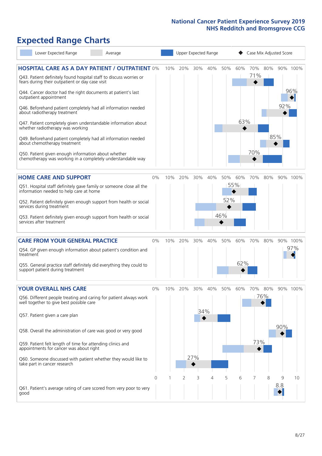## **Expected Range Charts**

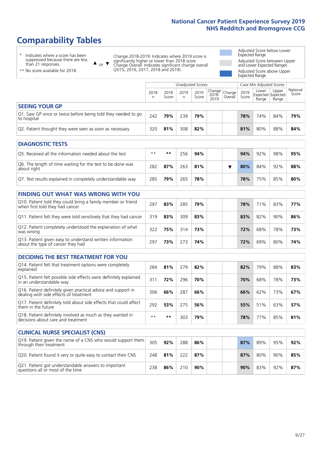# **Comparability Tables**

\* Indicates where a score has been suppressed because there are less than 21 responses.

\*\* No score available for 2018.

or  $\blacktriangledown$  $\blacktriangle$ 

Change 2018-2019: Indicates where 2019 score is significantly higher or lower than 2018 score Change Overall: Indicates significant change overall (2015, 2016, 2017, 2018 and 2019).

Adjusted Score below Lower Expected Range Adjusted Score between Upper and Lower Expected Ranges Adjusted Score above Upper Expected Range

|                                                                             |           | Case Mix Adjusted Scores<br>Unadjusted Scores |           |               |                                          |         |               |                                     |                |                   |
|-----------------------------------------------------------------------------|-----------|-----------------------------------------------|-----------|---------------|------------------------------------------|---------|---------------|-------------------------------------|----------------|-------------------|
|                                                                             | 2018<br>n | 2018<br>Score                                 | 2019<br>n | 2019<br>Score | $\sqrt{Change} Change $<br>2018-<br>2019 | Overall | 2019<br>Score | Lower<br>Expected Expected<br>Range | Upper<br>Range | National<br>Score |
| <b>SEEING YOUR GP</b>                                                       |           |                                               |           |               |                                          |         |               |                                     |                |                   |
| Q1. Saw GP once or twice before being told they needed to go<br>to hospital | 242       | 79%                                           | 239       | 79%           |                                          |         | 78%           | 74%                                 | 84%            | 79%               |
| Q2. Patient thought they were seen as soon as necessary                     | 320       | 81%                                           | 308       | 82%           |                                          |         | 81%           | 80%                                 | 88%            | 84%               |
| <b>DIAGNOSTIC TESTS</b>                                                     |           |                                               |           |               |                                          |         |               |                                     |                |                   |

| Q5. Received all the information needed about the test                    | $**$ | **  | 256 | 94% |  | 94% | 92% | 98% | 95% |
|---------------------------------------------------------------------------|------|-----|-----|-----|--|-----|-----|-----|-----|
| Q6. The length of time waiting for the test to be done was<br>about right | 282  | 87% | 263 | 81% |  | 80% | 84% | 92% | 88% |
| Q7. Test results explained in completely understandable way               | 285  | 79% | 265 | 78% |  | 78% | 75% | 85% | 80% |

| <b>FINDING OUT WHAT WAS WRONG WITH YOU</b>                                                      |     |     |     |     |     |     |     |     |
|-------------------------------------------------------------------------------------------------|-----|-----|-----|-----|-----|-----|-----|-----|
| Q10. Patient told they could bring a family member or friend<br>when first told they had cancer | 297 | 83% | 285 | 79% | 78% | 71% | 83% | 77% |
| Q11. Patient felt they were told sensitively that they had cancer                               | 319 | 83% | 309 | 83% | 83% | 82% | 90% | 86% |
| Q12. Patient completely understood the explanation of what<br>was wrong                         | 322 | 75% | 314 | 73% | 72% | 68% | 78% | 73% |
| Q13. Patient given easy to understand written information<br>about the type of cancer they had  | 297 | 73% | 273 | 74% | 72% | 69% | 80% | 74% |

| <b>DECIDING THE BEST TREATMENT FOR YOU</b>                                                              |      |     |     |     |  |     |     |     |     |
|---------------------------------------------------------------------------------------------------------|------|-----|-----|-----|--|-----|-----|-----|-----|
| Q14. Patient felt that treatment options were completely<br>explained                                   | 284  | 81% | 279 | 82% |  | 82% | 79% | 88% | 83% |
| Q15. Patient felt possible side effects were definitely explained<br>in an understandable way           | 311  | 72% | 296 | 70% |  | 70% | 68% | 78% | 73% |
| Q16. Patient definitely given practical advice and support in<br>dealing with side effects of treatment | 306  | 66% | 287 | 66% |  | 66% | 62% | 73% | 67% |
| Q17. Patient definitely told about side effects that could affect<br>them in the future                 | 292  | 53% | 275 | 56% |  | 55% | 51% | 63% | 57% |
| Q18. Patient definitely involved as much as they wanted in<br>decisions about care and treatment        | $**$ | **  | 303 | 79% |  | 78% | 77% | 85% | 81% |

| <b>CLINICAL NURSE SPECIALIST (CNS)</b>                                                    |     |     |     |     |  |     |     |     |     |
|-------------------------------------------------------------------------------------------|-----|-----|-----|-----|--|-----|-----|-----|-----|
| Q19. Patient given the name of a CNS who would support them<br>through their treatment    | 305 | 92% | 288 | 86% |  | 87% | 89% | 95% | 92% |
| Q20. Patient found it very or quite easy to contact their CNS                             | 248 | 81% | 222 | 87% |  | 87% | 80% | 90% | 85% |
| Q21. Patient got understandable answers to important<br>questions all or most of the time | 238 | 86% | 210 | 90% |  | 90% | 83% | 92% | 87% |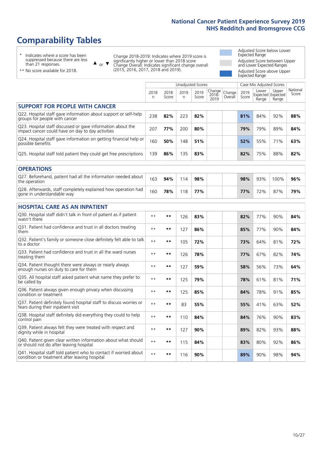# **Comparability Tables**

\* Indicates where a score has been suppressed because there are less than 21 responses.

\*\* No score available for 2018.

 $\triangle$  or  $\nabla$ 

Change 2018-2019: Indicates where 2019 score is significantly higher or lower than 2018 score Change Overall: Indicates significant change overall (2015, 2016, 2017, 2018 and 2019).

Adjusted Score below Lower Expected Range Adjusted Score between Upper and Lower Expected Ranges Adjusted Score above Upper Expected Range

|                                                                                                                   |              |               | Unadjusted Scores |               |                         |                   |               | Case Mix Adjusted Scores |                                     |                   |
|-------------------------------------------------------------------------------------------------------------------|--------------|---------------|-------------------|---------------|-------------------------|-------------------|---------------|--------------------------|-------------------------------------|-------------------|
|                                                                                                                   | 2018<br>n    | 2018<br>Score | 2019<br>n         | 2019<br>Score | Change<br>2018-<br>2019 | Change<br>Overall | 2019<br>Score | Lower<br>Range           | Upper<br>Expected Expected<br>Range | National<br>Score |
| <b>SUPPORT FOR PEOPLE WITH CANCER</b>                                                                             |              |               |                   |               |                         |                   |               |                          |                                     |                   |
| Q22. Hospital staff gave information about support or self-help<br>groups for people with cancer                  | 238          | 82%           | 223               | 82%           |                         |                   | 81%           | 84%                      | 92%                                 | 88%               |
| Q23. Hospital staff discussed or gave information about the<br>impact cancer could have on day to day activities  | 207          | 77%           | 200               | 80%           |                         |                   | 79%           | 79%                      | 89%                                 | 84%               |
| Q24. Hospital staff gave information on getting financial help or<br>possible benefits                            | 160          | 50%           | 148               | 51%           |                         |                   | 52%           | 55%                      | 71%                                 | 63%               |
| Q25. Hospital staff told patient they could get free prescriptions                                                | 139          | 86%           | 135               | 83%           |                         |                   | 82%           | 75%                      | 88%                                 | 82%               |
| <b>OPERATIONS</b>                                                                                                 |              |               |                   |               |                         |                   |               |                          |                                     |                   |
| Q27. Beforehand, patient had all the information needed about<br>the operation                                    | 163          | 94%           | 114               | 98%           |                         |                   | 98%           | 93%                      | 100%                                | 96%               |
| Q28. Afterwards, staff completely explained how operation had<br>gone in understandable way                       | 160          | 78%           | 118               | 77%           |                         |                   | 77%           | 72%                      | 87%                                 | 79%               |
| <b>HOSPITAL CARE AS AN INPATIENT</b>                                                                              |              |               |                   |               |                         |                   |               |                          |                                     |                   |
| Q30. Hospital staff didn't talk in front of patient as if patient<br>wasn't there                                 | $* *$        | **            | 126               | 83%           |                         |                   | 82%           | 77%                      | 90%                                 | 84%               |
| Q31. Patient had confidence and trust in all doctors treating<br>them                                             | $* *$        | $***$         | 127               | 86%           |                         |                   | 85%           | 77%                      | 90%                                 | 84%               |
| Q32. Patient's family or someone close definitely felt able to talk<br>to a doctor                                | $* *$        | $***$         | 105               | 72%           |                         |                   | 73%           | 64%                      | 81%                                 | 72%               |
| Q33. Patient had confidence and trust in all the ward nurses<br>treating them                                     | $* *$        | **            | 126               | 78%           |                         |                   | 77%           | 67%                      | 82%                                 | 74%               |
| Q34. Patient thought there were always or nearly always<br>enough nurses on duty to care for them                 | $**$         | $***$         | 127               | 59%           |                         |                   | 58%           | 56%                      | 73%                                 | 64%               |
| Q35. All hospital staff asked patient what name they prefer to<br>be called by                                    | $* *$        | **            | 125               | 79%           |                         |                   | 78%           | 61%                      | 81%                                 | 71%               |
| Q36. Patient always given enough privacy when discussing<br>condition or treatment                                | $* *$        | $***$         | 125               | 85%           |                         |                   | 84%           | 78%                      | 91%                                 | 85%               |
| Q37. Patient definitely found hospital staff to discuss worries or<br>fears during their inpatient visit          | $* *$        | **            | 83                | 55%           |                         |                   | 55%           | 41%                      | 63%                                 | 52%               |
| Q38. Hospital staff definitely did everything they could to help<br>control pain                                  | $* *$        | $***$         | 110               | 84%           |                         |                   | 84%           | 76%                      | 90%                                 | 83%               |
| Q39. Patient always felt they were treated with respect and<br>dignity while in hospital                          | $* *$        | **            | 127               | 90%           |                         |                   | 89%           | 82%                      | 93%                                 | 88%               |
| Q40. Patient given clear written information about what should<br>or should not do after leaving hospital         | $\star\star$ | $***$         | 115               | 84%           |                         |                   | 83%           | 80%                      | 92%                                 | 86%               |
| Q41. Hospital staff told patient who to contact if worried about<br>condition or treatment after leaving hospital | $**$         | **            | 116               | 90%           |                         |                   | 89%           | 90%                      | 98%                                 | 94%               |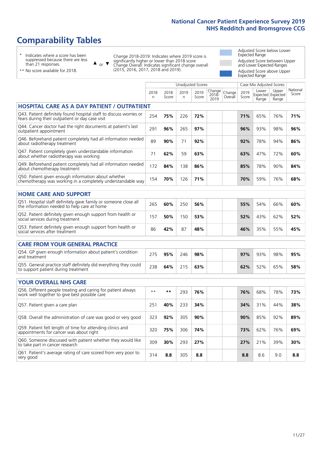# **Comparability Tables**

\* Indicates where a score has been suppressed because there are less than 21 responses.

\*\* No score available for 2018.

 $\triangle$  or  $\nabla$ 

Change 2018-2019: Indicates where 2019 score is significantly higher or lower than 2018 score Change Overall: Indicates significant change overall (2015, 2016, 2017, 2018 and 2019).

Adjusted Score below Lower Expected Range Adjusted Score between Upper and Lower Expected Ranges Adjusted Score above Upper Expected Range

|                                                                                                                       |              |               |            | Unadjusted Scores |                         |                   |               | Case Mix Adjusted Scores            |                |                   |
|-----------------------------------------------------------------------------------------------------------------------|--------------|---------------|------------|-------------------|-------------------------|-------------------|---------------|-------------------------------------|----------------|-------------------|
|                                                                                                                       | 2018<br>n.   | 2018<br>Score | 2019<br>n. | 2019<br>Score     | Change<br>2018-<br>2019 | Change<br>Overall | 2019<br>Score | Lower<br>Expected Expected<br>Range | Upper<br>Range | National<br>Score |
| <b>HOSPITAL CARE AS A DAY PATIENT / OUTPATIENT</b>                                                                    |              |               |            |                   |                         |                   |               |                                     |                |                   |
| Q43. Patient definitely found hospital staff to discuss worries or<br>fears during their outpatient or day case visit | 254          | 75%           | 226        | 72%               |                         |                   | 71%           | 65%                                 | 76%            | 71%               |
| Q44. Cancer doctor had the right documents at patient's last<br>outpatient appointment                                | 291          | 96%           | 265        | 97%               |                         |                   | 96%           | 93%                                 | 98%            | 96%               |
| Q46. Beforehand patient completely had all information needed<br>about radiotherapy treatment                         | 89           | 90%           | 71         | 92%               |                         |                   | 92%           | 78%                                 | 94%            | 86%               |
| Q47. Patient completely given understandable information<br>about whether radiotherapy was working                    | 71           | 62%           | 59         | 63%               |                         |                   | 63%           | 47%                                 | 72%            | 60%               |
| Q49. Beforehand patient completely had all information needed<br>about chemotherapy treatment                         | 172          | 84%           | 138        | 86%               |                         |                   | 85%           | 78%                                 | 90%            | 84%               |
| Q50. Patient given enough information about whether<br>chemotherapy was working in a completely understandable way    | 154          | 70%           | 126        | 71%               |                         |                   | 70%           | 59%                                 | 76%            | 68%               |
| <b>HOME CARE AND SUPPORT</b>                                                                                          |              |               |            |                   |                         |                   |               |                                     |                |                   |
| Q51. Hospital staff definitely gave family or someone close all<br>the information needed to help care at home        | 265          | 60%           | 250        | 56%               |                         |                   | 55%           | 54%                                 | 66%            | 60%               |
| Q52. Patient definitely given enough support from health or<br>social services during treatment                       | 157          | 50%           | 150        | 53%               |                         |                   | 52%           | 43%                                 | 62%            | 52%               |
| Q53. Patient definitely given enough support from health or<br>social services after treatment                        | 86           | 42%           | 87         | 48%               |                         |                   | 46%           | 35%                                 | 55%            | 45%               |
| CARE FROM YOUR GENERAL PRACTICE                                                                                       |              |               |            |                   |                         |                   |               |                                     |                |                   |
| Q54. GP given enough information about patient's condition<br>and treatment                                           | 275          | 95%           | 246        | 98%               |                         |                   | 97%           | 93%                                 | 98%            | 95%               |
| Q55. General practice staff definitely did everything they could<br>to support patient during treatment               | 238          | 64%           | 215        | 63%               |                         |                   | 62%           | 52%                                 | 65%            | 58%               |
| <b>YOUR OVERALL NHS CARE</b>                                                                                          |              |               |            |                   |                         |                   |               |                                     |                |                   |
| Q56. Different people treating and caring for patient always                                                          |              |               |            |                   |                         |                   |               |                                     |                |                   |
| work well together to give best possible care                                                                         | $\star\star$ | **            | 293        | 76%               |                         |                   | 76%           | 68%                                 | 78%            | 73%               |
| Q57. Patient given a care plan                                                                                        | 251          | 40%           | 233        | 34%               |                         |                   | 34%           | 31%                                 | 44%            | 38%               |
| Q58. Overall the administration of care was good or very good                                                         | 323          | 92%           | 305        | 90%               |                         |                   | 90%           | 85%                                 | 92%            | 89%               |
| Q59. Patient felt length of time for attending clinics and<br>appointments for cancer was about right                 | 320          | 75%           | 306        | 74%               |                         |                   | 73%           | 62%                                 | 76%            | 69%               |
| Q60. Someone discussed with patient whether they would like<br>to take part in cancer research                        | 309          | 30%           | 293        | 27%               |                         |                   | 27%           | 21%                                 | 39%            | 30%               |
| Q61. Patient's average rating of care scored from very poor to<br>very good                                           | 314          | 8.8           | 305        | 8.8               |                         |                   | 8.8           | 8.6                                 | 9.0            | 8.8               |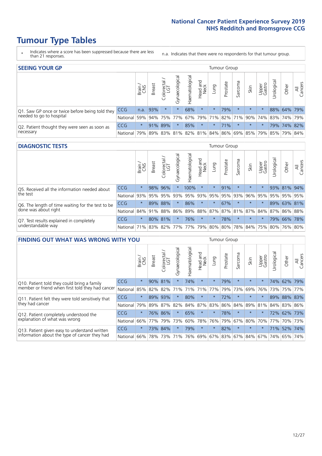- \* Indicates where a score has been suppressed because there are less than 21 responses.
- n.a. Indicates that there were no respondents for that tumour group.

| <b>SEEING YOUR GP</b>                           |            |         |               |                   |                    |                |                  |                 | Tumour Group |         |                                                     |                 |                |             |                |
|-------------------------------------------------|------------|---------|---------------|-------------------|--------------------|----------------|------------------|-----------------|--------------|---------|-----------------------------------------------------|-----------------|----------------|-------------|----------------|
|                                                 |            | Brain   | <b>Breast</b> | Colorectal<br>LGT | ᠊ᢛ<br>Gynaecologic | Haematological | Head and<br>Neck | Lung            | Prostate     | Sarcoma | Skin                                                | Upper<br>Gastro | –<br>Irologica | Other       | All<br>Cancers |
| Q1. Saw GP once or twice before being told they | <b>CCG</b> |         | $n.a.$ 93%    |                   |                    | 68%            | $\star$          | $\star$         | 79%          |         | $\star$                                             | $\star$         |                | 88% 64% 79% |                |
| needed to go to hospital                        | National   | 59%     |               | 94% 75% 77%       |                    |                |                  | 67% 79% 71% 82% |              |         | 71% 90% 74% 83% 74% 79%                             |                 |                |             |                |
| Q2. Patient thought they were seen as soon as   | <b>CCG</b> | $\star$ |               | 91% 89%           |                    | 85%            | $\star$          | $\star$         | 71%          | $\star$ | $\star$                                             | $\star$         |                | 79% 74% 82% |                |
| necessary                                       | National   | 79%     |               |                   |                    |                |                  |                 |              |         | 89% 83% 81% 82% 81% 84% 86% 69% 85% 79% 85% 79% 84% |                 |                |             |                |

#### **DIAGNOSTIC TESTS** Tumour Group

|                                                   |              | Brain<br>CNS | <b>Breast</b> | Colorectal<br>LGT | ᠊ᢛ<br>Gynaecologic | Haematological              | Head and<br>Neck | Lung        | Prostate | Sarcoma | Skin    | Upper<br>Gastro | rological                                   | Other | All<br>Cancers |
|---------------------------------------------------|--------------|--------------|---------------|-------------------|--------------------|-----------------------------|------------------|-------------|----------|---------|---------|-----------------|---------------------------------------------|-------|----------------|
| Q5. Received all the information needed about     | CCG          | $\star$      |               | 98% 96%           |                    | 100%                        | $\star$          | $\star$     | 91%      |         | $\star$ | $\star$         |                                             |       | 93% 81% 94%    |
| $\vert$ the test                                  | National     | 93%          | 95%           | 95%               |                    | 93% 95%                     |                  | 93% 95% 95% |          | 93%     | 96%     | 95%             | 95%                                         |       | 95% 95%        |
| Q6. The length of time waiting for the test to be | <b>CCG</b>   | $\star$      | 89%           | 88%               | $\star$            | 86%                         | $\star$          | $\star$     | 67%      | $\star$ | $\star$ | $\star$         |                                             |       | 89% 63% 81%    |
| done was about right                              | National     |              | 84% 91% 88%   |                   |                    |                             |                  |             |          |         |         |                 | 86% 89% 88% 87% 87% 81% 87% 84% 87% 86% 88% |       |                |
| Q7. Test results explained in completely          | CCG          | $\star$      |               | 80% 81%           | $\star$            | 76%                         | $\star$          | $\star$     | 78%      | $\star$ | $\star$ | $\star$         |                                             |       | 79% 66% 78%    |
| understandable way                                | National 71% |              |               |                   |                    | 83% 82% 77% 77% 79% 80% 80% |                  |             |          |         |         |                 | 78% 84% 75% 80% 76% 80%                     |       |                |

| <b>FINDING OUT WHAT WAS WRONG WITH YOU</b>        |          |         |               |                        |                |                |                        | Tumour Group        |          |         |         |                 |            |         |                |
|---------------------------------------------------|----------|---------|---------------|------------------------|----------------|----------------|------------------------|---------------------|----------|---------|---------|-----------------|------------|---------|----------------|
|                                                   |          | Brain   | <b>Breast</b> | olorectal.<br>LGT<br>Ū | Gynaecological | Haematological | ad and<br>Neck<br>Head | Lung                | Prostate | Sarcoma | Skin    | Upper<br>Gastro | Irological | Other   | All<br>Cancers |
| Q10. Patient told they could bring a family       | CCG      | $\star$ | 90% 81%       |                        |                | 74%            | $\star$                | $\star$             | 79%      | $\star$ | $\star$ | $\star$         | 74%        | 62%     | 79%            |
| member or friend when first told they had cancer  | National | 85%     | 82%           | 82%                    | 71%            | 71%            | 71%                    | 77%                 | 79%      | 73%     | 69%     | 76%             | 73%        | 75%     | 77%            |
| Q11. Patient felt they were told sensitively that | CCG      | $\star$ | 89%           | 93%                    |                | 80%            | $\star$                | $\star$             | 72%      | $\star$ | $\star$ | $\star$         | 89%        | 88%     | 83%            |
| they had cancer                                   | National | 79%     | 89% 87%       |                        | 82%            |                | 84% 87%                | 83%                 | 86%      | 84%     |         | 89% 81%         |            | 84% 83% | 86%            |
| Q12. Patient completely understood the            | CCG      | $\star$ | 76%           | 86%                    |                | 65%            | $\star$                | $\star$             | 78%      | $\star$ | $\star$ |                 | 72%        | 62% 73% |                |
| explanation of what was wrong                     | National | 66%     | 77%           | 79%                    | 73%            | 60%            | 78%                    | 76%                 | 79%      | 67%     | 80%     | 70%             | 77%        | 70%     | 73%            |
| Q13. Patient given easy to understand written     | CCG      | $\star$ |               | 73% 84%                |                | 79%            | $\star$                | $\star$             | 82%      | $\ast$  | $\star$ | $\star$         | 71%        | 52%     | 74%            |
| information about the type of cancer they had     | National | 66%     | 78%           | 73%                    | 71%            | 76%            |                        | 69% 67% 83% 67% 84% |          |         |         | 67%             | 74%        | 65%     | 74%            |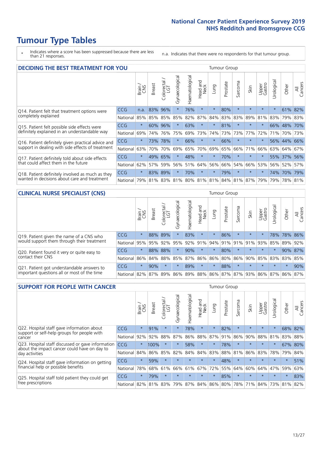\* Indicates where a score has been suppressed because there are less than 21 responses.

n.a. Indicates that there were no respondents for that tumour group.

| <b>DECIDING THE BEST TREATMENT FOR YOU</b>         |            |         |               |                       |                |                |                        |         | <b>Tumour Group</b> |                                     |         |                 |            |         |                |
|----------------------------------------------------|------------|---------|---------------|-----------------------|----------------|----------------|------------------------|---------|---------------------|-------------------------------------|---------|-----------------|------------|---------|----------------|
|                                                    |            | Brain   | <b>Breast</b> | olorectal<br>LGT<br>Ũ | Gynaecological | Haematological | ad and<br>Neck<br>Head | Lung    | Prostate            | Sarcoma                             | Skin    | Upper<br>Gastro | Jrological | Other   | All<br>Cancers |
| Q14. Patient felt that treatment options were      | CCG        | n.a.    | 83%           | 96%                   | $\star$        | 76%            | $\star$                | $\star$ | 80%                 | $\star$                             | $\star$ | $\star$         | $\star$    | 61%     | 82%            |
| completely explained                               | National   | 85%     | 85%           | 85%                   | 85%            | 82%            | 87%                    | 84%     | 83%                 | 83%                                 | 89%     | 81%             | 83%        | 79% 83% |                |
| Q15. Patient felt possible side effects were       | <b>CCG</b> | $\star$ | 60%           | 96%                   | $\star$        | 63%            | $\star$                | $\star$ | 81%                 | $\star$                             | $\star$ | $\star$         |            | 66% 48% | 70%            |
| definitely explained in an understandable way      | National   | 69%     | 74%           | 76%                   | 75%            | 69%            | 73%                    | 74%     | 73%                 | 73%                                 | 77%     | 72%             | 71%        | 70%     | 73%            |
| Q16. Patient definitely given practical advice and | <b>CCG</b> | $\star$ | 73%           | 78%                   | $\star$        | 66%            | $\star$                | $\star$ | 66%                 | $\star$                             |         | $\star$         |            | 56% 44% | 66%            |
| support in dealing with side effects of treatment  | National   | 63%     | 70%           | 70%                   | 69%            | 65%            | 70%                    | 69%     | 65%                 | 66%                                 | 71%     | 66%             | 63%        | 64%     | 67%            |
| Q17. Patient definitely told about side effects    | <b>CCG</b> | $\star$ | 49%           | 65%                   |                | 48%            | $\star$                | $\star$ | 70%                 | $\star$                             | $\star$ | $\star$         |            | 55% 37% | 56%            |
| that could affect them in the future               | National   | 62%     | 57%           | 59%                   | 56%            | 51%            | 64%                    | 56%     | 66%                 | 54%                                 | 66%     | 53%             |            | 56% 52% | 57%            |
| Q18. Patient definitely involved as much as they   | <b>CCG</b> | $\star$ | 83%           | 89%                   | $\star$        | 70%            | $\star$                | $\star$ | 79%                 | $\star$                             | $\star$ | $\star$         |            | 74% 70% | 79%            |
| wanted in decisions about care and treatment       | National   | 79%     |               |                       |                |                |                        |         |                     | 81% 83% 81% 80% 81% 81% 84% 81% 87% |         | 79%             | 79%        | 78% 81% |                |

#### **CLINICAL NURSE SPECIALIST (CNS)** Tumour Group

|                                             |                                                                  | Brain   | <b>Breast</b>   | Colorectal<br>LGT | Gynaecologica | ক<br>Ü<br>aematologi<br>Ĩ | Head and<br>Neck | Lung                  | Prostate | Sarcoma | Skin    | Upper<br>Gastro | rological | Other       | All<br>Cancers |
|---------------------------------------------|------------------------------------------------------------------|---------|-----------------|-------------------|---------------|---------------------------|------------------|-----------------------|----------|---------|---------|-----------------|-----------|-------------|----------------|
| Q19. Patient given the name of a CNS who    | CCG                                                              | $\star$ |                 | 88% 89%           |               | 83%                       | $\star$          |                       | 86%      | $\star$ | $\star$ | $\star$         |           | 78% 78% 86% |                |
| would support them through their treatment  | National                                                         | 95%     | 95%             | 92%               | 95%           | 92%                       | 91%              | 94% 91%               |          |         | 91% 91% | 93%             | 85%       | 89%         | 92%            |
| Q20. Patient found it very or quite easy to | <b>CCG</b>                                                       | $\star$ |                 | 88% 88%           |               | 90%                       | $\star$          | $\star$               | 80%      | $\star$ | $\star$ | $\star$         |           | 90%         | 87%            |
| contact their CNS                           | National                                                         |         | 86% 84% 88% 85% |                   |               |                           |                  | 87%   86%   86%   80% |          |         |         | 86% 90% 85% 83% |           | 83%         | 85%            |
| Q21. Patient got understandable answers to  | CCG                                                              | $\star$ | 90%             |                   |               | 89%                       | $\star$          | $\star$               | 88%      | $\star$ | $\star$ | $\star$         | $\star$   | $\star$     | 90%            |
| important questions all or most of the time | National 82% 87% 89% 86% 89% 88% 86% 87% 87% 93% 86% 87% 86% 87% |         |                 |                   |               |                           |                  |                       |          |         |         |                 |           |             |                |

| <b>SUPPORT FOR PEOPLE WITH CANCER</b>                                                             |                      |         |               |                             |                |                     |                        |         | <b>Tumour Group</b> |                      |                         |                 |           |         |                |
|---------------------------------------------------------------------------------------------------|----------------------|---------|---------------|-----------------------------|----------------|---------------------|------------------------|---------|---------------------|----------------------|-------------------------|-----------------|-----------|---------|----------------|
|                                                                                                   |                      | Brain   | <b>Breast</b> | olorectal.<br>LGT<br>$\cup$ | Gynaecological | Haematological      | ad and<br>Neck<br>Head | Lung    | Prostate            | arcoma<br>$\sqrt{ }$ | Skin                    | Upper<br>Gastro | Jrologica | Other   | All<br>Cancers |
| Q22. Hospital staff gave information about<br>support or self-help groups for people with         | CCG                  | $\star$ | 91%           | $\star$                     | $\star$        | 78%                 | $\star$                | $\star$ | 82%                 | $\star$              | $\star$                 | $\star$         | $\star$   | 68%     | 82%            |
| cancer                                                                                            | National             | 92%     | 92%           | 88%                         | 87%            | 86%                 | 88%                    | 87%     | 91%                 | 86%                  | 90%                     | 88%             | 81%       | 83%     | 88%            |
| Q23. Hospital staff discussed or gave information<br>about the impact cancer could have on day to | CCG                  | $\star$ | 100%          | $\star$                     | $\star$        | 58%                 | $\star$                | $\star$ | 78%                 | $\star$              | $\star$                 | $\star$         | $\star$   | 67%     | 80%            |
| day activities                                                                                    | National             | 84%     | 86%           | 85%                         | 82%            | 84%                 | 84%                    | 83%     | 88%                 | 81%                  | 86%                     | 83%             | 78%       | 79%     | 84%            |
| Q24. Hospital staff gave information on getting                                                   | CCG                  | $\star$ | 59%           | $\star$                     | $\star$        | $\star$             | $\star$                | $\star$ | 48%                 | $\star$              | $\star$                 | $\star$         | $\star$   | $\star$ | 51%            |
| financial help or possible benefits                                                               | National             | 78%     |               | 68% 61%                     | 66%            | 61%                 | 67%                    | 72%     | 55%                 | 64%                  | 60%                     | 64%             | 47%       | 59%     | 63%            |
| Q25. Hospital staff told patient they could get                                                   | <b>CCG</b>           | $\star$ | 79%           | $\star$                     | $\star$        | $\star$             | $\star$                | $\star$ | 85%                 | $\star$              | $\star$                 | $\star$         | $\star$   | $\star$ | 83%            |
| tree prescriptions                                                                                | National 82% 81% 83% |         |               |                             |                | 79% 87% 84% 86% 80% |                        |         |                     |                      | 78% 71% 84% 73% 81% 82% |                 |           |         |                |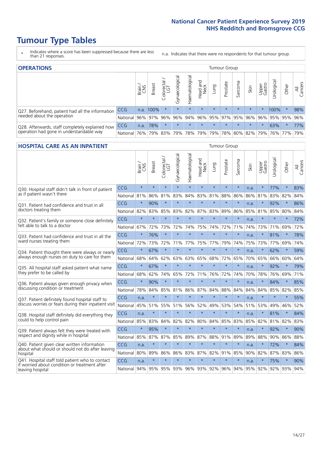- \* Indicates where a score has been suppressed because there are less than 21 responses.
- n.a. Indicates that there were no respondents for that tumour group.

| <b>OPERATIONS</b>                                |          |              |               |                   |                   |                |                  |             | Tumour Group |         |                     |                 |                                                  |           |                |
|--------------------------------------------------|----------|--------------|---------------|-------------------|-------------------|----------------|------------------|-------------|--------------|---------|---------------------|-----------------|--------------------------------------------------|-----------|----------------|
|                                                  |          | Brain<br>CNS | <b>Breast</b> | Colorectal<br>LGT | ক<br>Gynaecologic | Haematological | Head and<br>Neck | <b>Gunn</b> | Prostate     | Sarcoma | Skin                | Upper<br>Gastro | rological                                        | Other     | All<br>Cancers |
| Q27. Beforehand, patient had all the information | CCG      | n.a.         | 100%          |                   | $\star$           | $\star$        | $\star$          | $\star$     | $\star$      | $\star$ | $\star$             | $\star$         | 100%                                             | $\ast$    | 98%            |
| needed about the operation                       | National | 96%          | 97%           | 96%               |                   |                |                  |             |              |         |                     |                 | 96%  94%  96%  95%  97%  95%  96%  96%  95%  95% |           | 96%            |
| Q28. Afterwards, staff completely explained how  | CCG      | n.a.         | 78%           |                   | $\star$           | $\star$        | $\star$          | $\star$     | $\star$      | $\star$ | $\star$             | $\star$         | 63%                                              | $\star$   | 77%            |
| operation had gone in understandable way         | National | 76%          |               | 79% 83%           |                   |                | 79%   78%   79%  |             |              |         | 79% 78% 80% 82% 79% |                 |                                                  | 76%   77% | 79%            |

#### **HOSPITAL CARE AS AN INPATIENT** Tumour Group

|                                                                                                  |            | Brain   | Breast  | Colorectal /<br>LGT | Gynaecological | Haematological | Head and<br>Neck | Lung        | Prostate | Sarcoma | Skin | Upper<br>Gastro | Urological | Other   | All<br>Cancers |
|--------------------------------------------------------------------------------------------------|------------|---------|---------|---------------------|----------------|----------------|------------------|-------------|----------|---------|------|-----------------|------------|---------|----------------|
| Q30. Hospital staff didn't talk in front of patient                                              | CCG        | $\star$ | $\star$ | $\star$             | $\star$        | $\star$        | $\star$          | $\star$     | $\star$  | $\star$ | n.a. | $\star$         | 77%        | $\star$ | 83%            |
| as if patient wasn't there                                                                       | National   | 81%     | 86%     | 81%                 | 83%            | 84%            | 83%              | 81%         | 88%      | 86%     | 86%  | 81%             | 83%        | 82%     | 84%            |
| Q31. Patient had confidence and trust in all                                                     | CCG        | $\star$ | 90%     | $\star$             | $\star$        | $\star$        | $\star$          | $\star$     | $\star$  | $\star$ | n.a. |                 | 92%        | $\star$ | 86%            |
| doctors treating them                                                                            | National   | 82%     | 83%     | 85%                 | 83%            | 82%            |                  | 87% 83%     | 89%      | 86%     | 85%  | 81%             | 85%        | 80%     | 84%            |
| Q32. Patient's family or someone close definitely                                                | CCG        | $\star$ | $\star$ | $\star$             | $\star$        | $\star$        | $\star$          | $\star$     | $\star$  | $\star$ | n.a. | $\star$         | $\star$    | $\star$ | 72%            |
| felt able to talk to a doctor                                                                    | National   | 67%     | 72%     | 73%                 | 72%            | 74%            | 75%              | 74%         | 72%      | 71%     | 74%  | 73%             | 71%        | 69%     | 72%            |
| Q33. Patient had confidence and trust in all the                                                 | CCG        | $\star$ | 76%     | $\star$             | $\star$        | $\star$        | $\star$          | $\star$     | $\star$  | $\star$ | n.a. | $\star$         | 81%        | $\star$ | 78%            |
| ward nurses treating them                                                                        | National   | 72%     | 73%     | 72%                 | 71%            | 77%            | 75%              | 77%         | 79%      | 74%     | 75%  | 73%             | 77%        | 69%     | 74%            |
| Q34. Patient thought there were always or nearly                                                 | CCG        | $\star$ | 67%     | $\star$             | $\star$        | $\star$        | $\star$          | $\star$     | $\star$  | $\star$ | n.a. | $\star$         | 62%        | $\star$ | 59%            |
| always enough nurses on duty to care for them                                                    | National   | 68%     | 64%     | 62%                 | 63%            | 63%            | 65%              | 68%         | 72%      | 65%     | 70%  | 65%             | 66%        | 60%     | 64%            |
| Q35. All hospital staff asked patient what name                                                  | CCG        | $\star$ | 67%     | $\star$             | $\star$        | $\star$        | $\star$          | $\star$     | $\star$  | $\star$ | n.a. |                 | 92%        | $\star$ | 79%            |
| they prefer to be called by                                                                      | National   | 68%     | 62%     | 74%                 | 65%            | 72%            | 71%              | 76%         | 72%      | 74%     | 70%  | 78%             | 76%        | 69%     | 71%            |
| Q36. Patient always given enough privacy when                                                    | CCG        | $\star$ | 90%     | $\star$             | $\star$        | $\star$        | $\star$          | $\star$     | $\star$  | $\star$ | n.a. |                 | 84%        | $\star$ | 85%            |
| discussing condition or treatment                                                                | National   | 78%     | 84%     | 85%                 | 81%            | 86%            | 87%              | 84%         | 88%      | 84%     | 84%  | 84%             | 85%        | 82%     | 85%            |
| Q37. Patient definitely found hospital staff to                                                  | <b>CCG</b> | n.a.    | $\star$ | $\star$             | $\star$        | $\star$        | $\star$          | $\star$     | $\star$  | $\star$ | n.a. | $\star$         | $\star$    | $\star$ | 55%            |
| discuss worries or fears during their inpatient visit                                            | National   | 45%     | 51%     | 55%                 | 51%            | 56%            | 52%              | 49%         | 53%      | 54%     | 51%  | 53%             | 49%        | 46%     | 52%            |
| Q38. Hospital staff definitely did everything they                                               | CCG        | n.a.    | $\star$ | $\star$             | $\star$        | $\star$        | $\star$          | $\star$     | $\star$  | $\star$ | n.a. | $\star$         | 81%        | $\star$ | 84%            |
| could to help control pain                                                                       | National   | 85%     | 83%     | 84%                 | 82%            | 82%            | 80%              | 84%         | 85%      | 83%     | 85%  | 82%             | 81%        | 82%     | 83%            |
| Q39. Patient always felt they were treated with                                                  | CCG        | $\star$ | 95%     | $\star$             | $\star$        | $\star$        | $\star$          | $\star$     | $\star$  | $\star$ | n.a. |                 | 92%        | $\star$ | 90%            |
| respect and dignity while in hospital                                                            | National   | 85%     | 87%     | 87%                 | 85%            | 89%            |                  | 87% 88%     | 91%      | 89%     | 89%  | 88%             | 90%        | 86%     | 88%            |
| Q40. Patient given clear written information<br>about what should or should not do after leaving | CCG        | n.a.    | $\star$ | $\star$             | $\star$        | $\star$        | $\star$          | $\star$     | $\star$  | $\star$ | n.a. |                 | 72%        | $\star$ | 84%            |
| hospital                                                                                         | National   | 80%     | 89%     | 86%                 | 86%            | 83%            |                  | 87% 82%     | 91%      | 85%     | 90%  | 82%             | 87%        | 83%     | 86%            |
| Q41. Hospital staff told patient who to contact<br>if worried about condition or treatment after | CCG        | n.a.    | $\star$ | $\star$             | $\star$        | $\star$        | $\star$          | $\star$     | $\star$  | $\star$ | n.a. |                 | 75%        | $\star$ | 90%            |
| leaving hospital                                                                                 | National   | 94%     | 95%     | 95% 93%             |                |                |                  | 96% 93% 92% |          | 96% 94% | 95%  | 92%             | 92%        | 93%     | 94%            |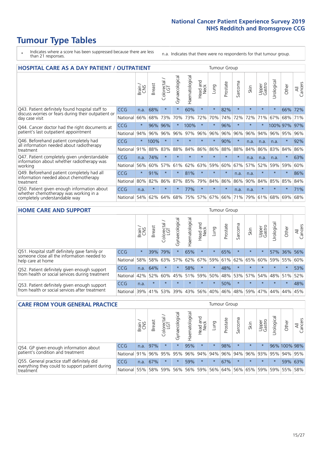# **Tumour Type Tables**

- \* Indicates where a score has been suppressed because there are less than 21 responses.
- n.a. Indicates that there were no respondents for that tumour group.

| <b>HOSPITAL CARE AS A DAY PATIENT / OUTPATIENT</b>                     |            |         |               |                                 |                |                |                         |          | <b>Tumour Group</b> |         |         |                 |            |         |                |
|------------------------------------------------------------------------|------------|---------|---------------|---------------------------------|----------------|----------------|-------------------------|----------|---------------------|---------|---------|-----------------|------------|---------|----------------|
|                                                                        |            | Brain   | <b>Breast</b> | ╮<br>olorectal<br>LGT<br>$\cup$ | Gynaecological | Haematological | ead and<br>Neck<br>Head | Lung     | Prostate            | Sarcoma | Skin    | Upper<br>Gastro | Urological | Other   | All<br>Cancers |
| Q43. Patient definitely found hospital staff to                        | CCG        | n.a.    | 68%           | $\star$                         | $\star$        | 60%            | $\star$                 | $\star$  | 82%                 | $\star$ | $\star$ | $\star$         | $\star$    | 66%     | 72%            |
| discuss worries or fears during their outpatient or<br>day case visit  | National   | 66%     | 68%           | 73%                             | 70%            | 73%            | 72%                     | 70%      | 74%                 | 72%     | 72%     | 71%             | 67%        | 68%     | 71%            |
| Q44. Cancer doctor had the right documents at                          | <b>CCG</b> | $\star$ | 96%           | 96%                             |                | 100%           | $\star$                 | $^\star$ | 96%                 | $\ast$  |         |                 | 100% 97%   |         | 97%            |
| patient's last outpatient appointment                                  | National   | 94%     | 96%           | 96%                             | 96%            | 97%            | 96%                     | 96%      | 96%                 | 96%     | 96%     | 94%             | 96%        | 95%     | 96%            |
| Q46. Beforehand patient completely had                                 | CCG        | $\star$ | 100%          | $\star$                         |                | $\star$        | $\star$                 | $\star$  | 90%                 | $\star$ | n.a.    | n.a.            | n.a.       | $\star$ | 92%            |
| all information needed about radiotherapy<br>treatment                 | National   | 91%     | 88%           | 83%                             | 88%            | 84%            | 86%                     | 86%      | 88%                 | 88%     | 84%     | 86%             | 83%        | 84%     | 86%            |
| Q47. Patient completely given understandable                           | CCG        | n.a.    | 74%           | $\star$                         |                |                | $\star$                 | $\star$  | $\star$             | $\star$ | n.a.    | n.a.            | n.a.       | $\ast$  | 63%            |
| information about whether radiotherapy was<br>working                  | National   | 56%     | 60%           | 57%                             | 61%            | 62%            | 63%                     | 59%      | 60%                 | 67%     | 57%     | 52%             | 59%        | 59%     | 60%            |
| Q49. Beforehand patient completely had all                             | CCG        | $\star$ | 91%           | $\star$                         | $\star$        | 81%            | $\star$                 | $\star$  | $\star$             | n.a.    | n.a.    | $\star$         | $\star$    | $\ast$  | 86%            |
| information needed about chemotherapy<br>treatment                     | National   | 80%     | 82%           | 86%                             | 87%            | 85%            | 79%                     | 84%      | 86%                 | 86%     | 90%     | 84%             | 85%        | 85%     | 84%            |
| Q50. Patient given enough information about                            | <b>CCG</b> | n.a.    | $\star$       | $\star$                         |                | 77%            | $\star$                 | $\star$  | $\star$             | n.a.    | n.a.    | $\star$         |            | $\ast$  | 71%            |
| whether chemotherapy was working in a<br>completely understandable way | National   | 54%     | 62%           | 64%                             | 68%            | 75%            |                         | 57% 67%  | 66%                 | 71%     | 79%     | 61%             | 68%        | 69%     | 68%            |

#### **HOME CARE AND SUPPORT** Tumour Group

|                                                                                                                   |            | Brain   | <b>Breast</b> | Colorectal<br>LGT | ᢛ<br>Gynaecologic | Haematological | ad and<br>Neck<br>Head | <b>Dung</b> | Prostate | Sarcoma | Skin    | Upper<br>Gastro | Urological | Other   | All<br>Cancers |
|-------------------------------------------------------------------------------------------------------------------|------------|---------|---------------|-------------------|-------------------|----------------|------------------------|-------------|----------|---------|---------|-----------------|------------|---------|----------------|
| Q51. Hospital staff definitely gave family or<br>someone close all the information needed to<br>help care at home | <b>CCG</b> | $\star$ | 39%           | 79%               | $\star$           | 65%            | $\ast$                 | $\star$     | 65%      | $\star$ | $\star$ | $\star$         |            | 57% 36% | 56%            |
|                                                                                                                   | National   | 58%     | 58%           | 63%               | 57%               | 62%            | 67%                    | 59%         | 61%      |         | 62% 65% | 60%             | 59%        | 55%     | 60%            |
| Q52. Patient definitely given enough support<br>from health or social services during treatment                   | <b>CCG</b> | n.a.    | 64%           | $\star$           | $\star$           | 58%            | $\star$                | $\star$     | 48%      | $\star$ | $\star$ | $\star$         | $\star$    | $\star$ | 53%            |
|                                                                                                                   | National   | 42%     | 52%           | 60%               |                   | 45% 51%        | 59%                    | 50%         | 48%      |         | 53% 57% | 54%             | 48% 51%    |         | 52%            |
| Q53. Patient definitely given enough support<br>from health or social services after treatment                    | <b>CCG</b> | n.a.    | $\star$       | $\star$           | $\star$           | $\star$        | $\star$                | $\star$     | 50%      |         | $\star$ | $\star$         | $\star$    | $\star$ | 48%            |
|                                                                                                                   | National   | 39%     |               | 41% 53%           | 39%               | 43%            | 56%                    | 40%         | 46%      |         | 48% 59% | 47%             | 44%        | 44%     | 45%            |

| <b>CARE FROM YOUR GENERAL PRACTICE</b>                                      |              |        |               |                        |               |                |                  | <b>Tumour Group</b> |          |         |         |                 |                      |                                         |                |  |
|-----------------------------------------------------------------------------|--------------|--------|---------------|------------------------|---------------|----------------|------------------|---------------------|----------|---------|---------|-----------------|----------------------|-----------------------------------------|----------------|--|
|                                                                             |              | Brain, | <b>Breast</b> | ╮<br>Colorectal<br>LGT | Gynaecologica | Haematological | Head and<br>Neck | Lung                | Prostate | Sarcoma | Skin    | Upper<br>Gastro | $\sigma$<br>Urologic | Other                                   | All<br>Cancers |  |
| Q54. GP given enough information about<br>patient's condition and treatment | CCG          | n.a.   | 97%           |                        | $\star$       | 95%            | $\star$          | $\star$             | 98%      | $\star$ | $\star$ | $\star$         |                      | 96% 100% 98%                            |                |  |
|                                                                             | National 91% |        |               | 96% 95%                | 95%           |                | 96% 94% 94% 96%  |                     |          |         |         |                 |                      | 94% 96% 93% 95% 94% 95%                 |                |  |
| Q55. General practice staff definitely did                                  | <b>CCG</b>   | n.a.   | 67%           |                        |               | 59%            | $\star$          | $\star$             | 67%      | $\star$ | $\star$ | $\star$         |                      |                                         | 59% 63%        |  |
| everything they could to support patient during<br>treatment                | National 55% |        |               |                        | 58% 59% 56%   |                |                  |                     |          |         |         |                 |                      | 56% 59% 56% 64% 56% 65% 59% 59% 55% 58% |                |  |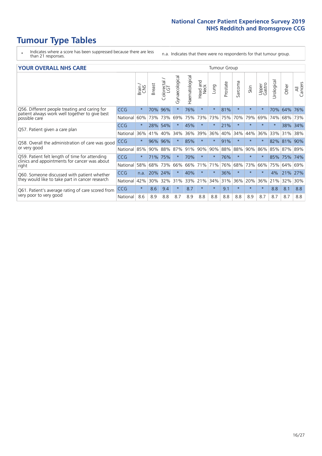- \* Indicates where a score has been suppressed because there are less than 21 responses.
- n.a. Indicates that there were no respondents for that tumour group.

|  | <b>YOUR OVERALL NHS CARE</b> |  |  |
|--|------------------------------|--|--|
|--|------------------------------|--|--|

| <b>YOUR OVERALL NHS CARE</b>                                                                   |            |         |        |                         |                |                |                  | <b>Tumour Group</b> |          |               |         |                 |           |       |                |  |
|------------------------------------------------------------------------------------------------|------------|---------|--------|-------------------------|----------------|----------------|------------------|---------------------|----------|---------------|---------|-----------------|-----------|-------|----------------|--|
|                                                                                                |            | Brain   | Breast | colorectal.<br>LGT<br>Û | Gynaecological | Haematological | Head and<br>Neck | Lung                | Prostate | arcoma<br>آرا | Skin    | Upper<br>Gastro | Urologica | Other | All<br>Cancers |  |
| Q56. Different people treating and caring for                                                  | <b>CCG</b> | $\star$ | 70%    | 96%                     | $\star$        | 76%            | $\star$          | $\star$             | 81%      | $\star$       | $\star$ | $\rightarrow$   | 70%       | 64%   | 76%            |  |
| patient always work well together to give best<br>possible care                                | National   | 60%     | 73%    | 73%                     | 69%            | 75%            | 73%              | 73%                 | 75%      | 70%           | 79%     | 69%             | 74%       | 68%   | 73%            |  |
| Q57. Patient given a care plan                                                                 | CCG        | $\star$ | 28%    | 54%                     |                | 45%            | $\star$          | $\star$             | 21%      | $\star$       | $\star$ |                 |           | 38%   | 34%            |  |
|                                                                                                | National   | 36%     | 41%    | 40%                     | 34%            | 36%            | 39%              | 36%                 | 40%      | 34%           | 44%     | 36%             | 33%       | 31%   | 38%            |  |
| Q58. Overall the administration of care was good<br>or very good                               | <b>CCG</b> | $\star$ | 96%    | 96%                     | $\star$        | 85%            | $\ast$           | $\star$             | 91%      | $\star$       | $\ast$  |                 | 82%       | 81%   | 90%            |  |
|                                                                                                | National   | 85%     | 90%    | 88%                     | 87%            | 91%            | 90%              | 90%                 | 88%      | 88%           | 90%     | 86%             | 85%       | 87%   | 89%            |  |
| Q59. Patient felt length of time for attending                                                 | <b>CCG</b> | $\star$ | 71%    | 75%                     |                | 70%            | $\star$          | $\star$             | 76%      | $\star$       | $\star$ |                 | 85%       | 75%   | 74%            |  |
| clinics and appointments for cancer was about<br>right                                         | National   | 58%     | 68%    | 73%                     | 66%            | 66%            | 71%              | 71%                 | 76%      | 68%           | 73%     | 66%             | 75%       | 64%   | 69%            |  |
| Q60. Someone discussed with patient whether<br>they would like to take part in cancer research | <b>CCG</b> | n.a.    | 20%    | 24%                     |                | 40%            | $\star$          | $\star$             | 36%      | $\ast$        | $\star$ | $\star$         | 4%        | 21%   | 27%            |  |
|                                                                                                | National   | 42%     | 30%    | 32%                     | 31%            | 33%            | 21%              | 34%                 | 31%      | 36%           | 20%     | 36%             | 21%       | 32%   | 30%            |  |
| Q61. Patient's average rating of care scored from                                              | <b>CCG</b> | $\star$ | 8.6    | 9.4                     | $\star$        | 8.7            | $\ast$           | $\star$             | 9.1      | $\star$       | $\star$ | $\star$         | 8.8       | 8.1   | 8.8            |  |
| very poor to very good                                                                         | National   | 8.6     | 8.9    | 8.8                     | 8.7            | 8.9            | 8.8              | 8.8                 | 8.8      | 8.8           | 8.9     | 8.7             | 8.7       | 8.7   | 8.8            |  |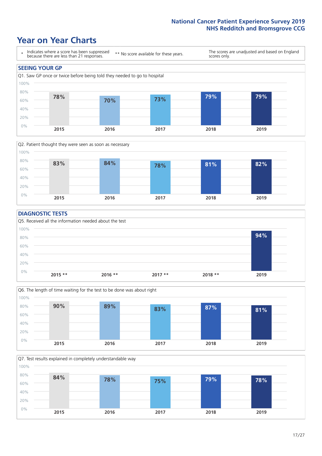### **Year on Year Charts**





#### **DIAGNOSTIC TESTS**





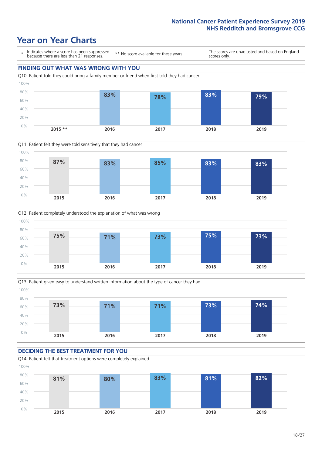







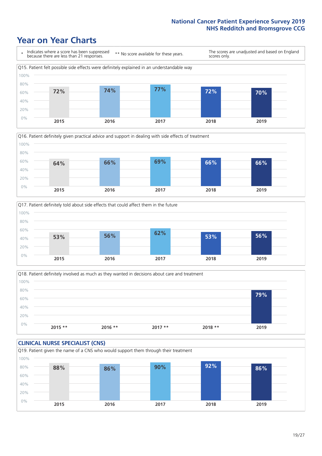





Q18. Patient definitely involved as much as they wanted in decisions about care and treatment  $0%$ 20% 40% 60% 80% 100% **2015 \*\* 2016 \*\* 2017 \*\* 2018 \*\* 2019 79%**

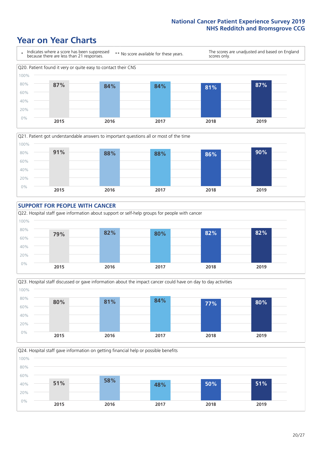









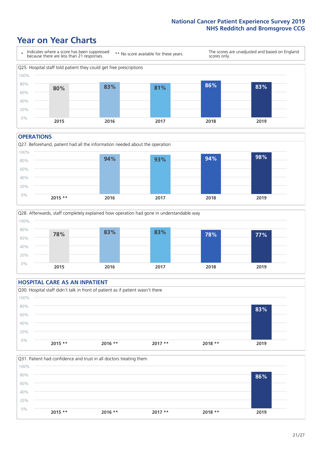### **Year on Year Charts**



#### **OPERATIONS**





#### **HOSPITAL CARE AS AN INPATIENT** Q30. Hospital staff didn't talk in front of patient as if patient wasn't there 0% 20% 40% 60% 80% 100% **2015 \*\* 2016 \*\* 2017 \*\* 2018 \*\* 2019 83%**

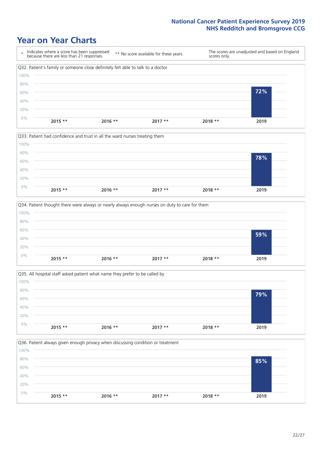







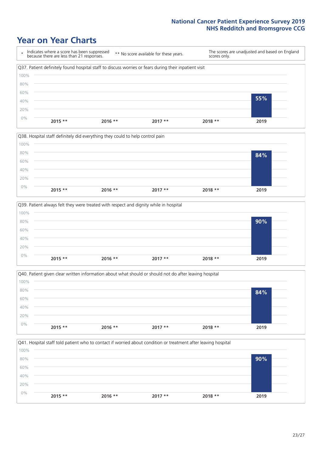







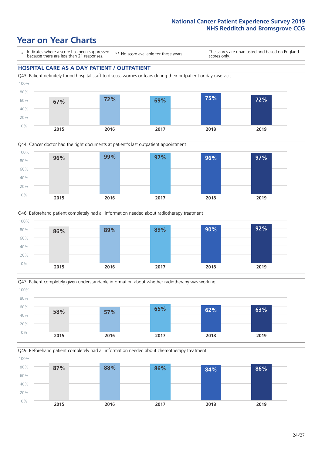### **Year on Year Charts**

\* Indicates where a score has been suppressed because there are less than 21 responses.

\*\* No score available for these years.

The scores are unadjusted and based on England scores only.

#### **HOSPITAL CARE AS A DAY PATIENT / OUTPATIENT**









Q49. Beforehand patient completely had all information needed about chemotherapy treatment 0% 20% 40% 60% 80% 100% **2015 2016 2017 2018 2019 87% 88% 86% 84% 86%**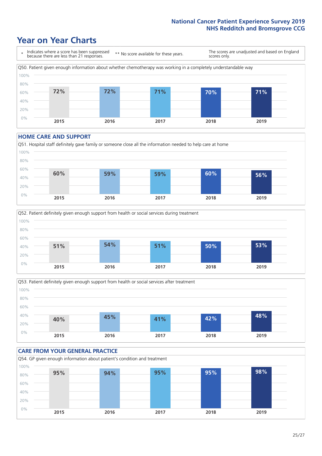## **Year on Year Charts**



#### **HOME CARE AND SUPPORT**







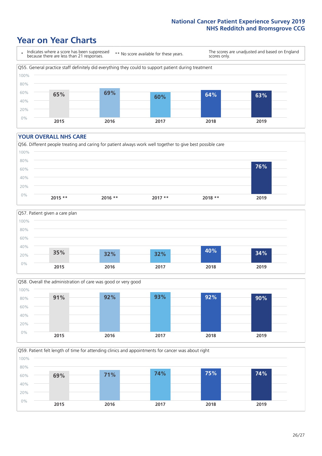## **Year on Year Charts**

\* Indicates where a score has been suppressed because there are less than 21 responses. \*\* No score available for these years. The scores are unadjusted and based on England scores only. Q55. General practice staff definitely did everything they could to support patient during treatment 0% 20% 40% 60% 80% 100% **2015 2016 2017 2018 2019 65% 69% 60% 64% 63%**

#### **YOUR OVERALL NHS CARE**







Q59. Patient felt length of time for attending clinics and appointments for cancer was about right 100%